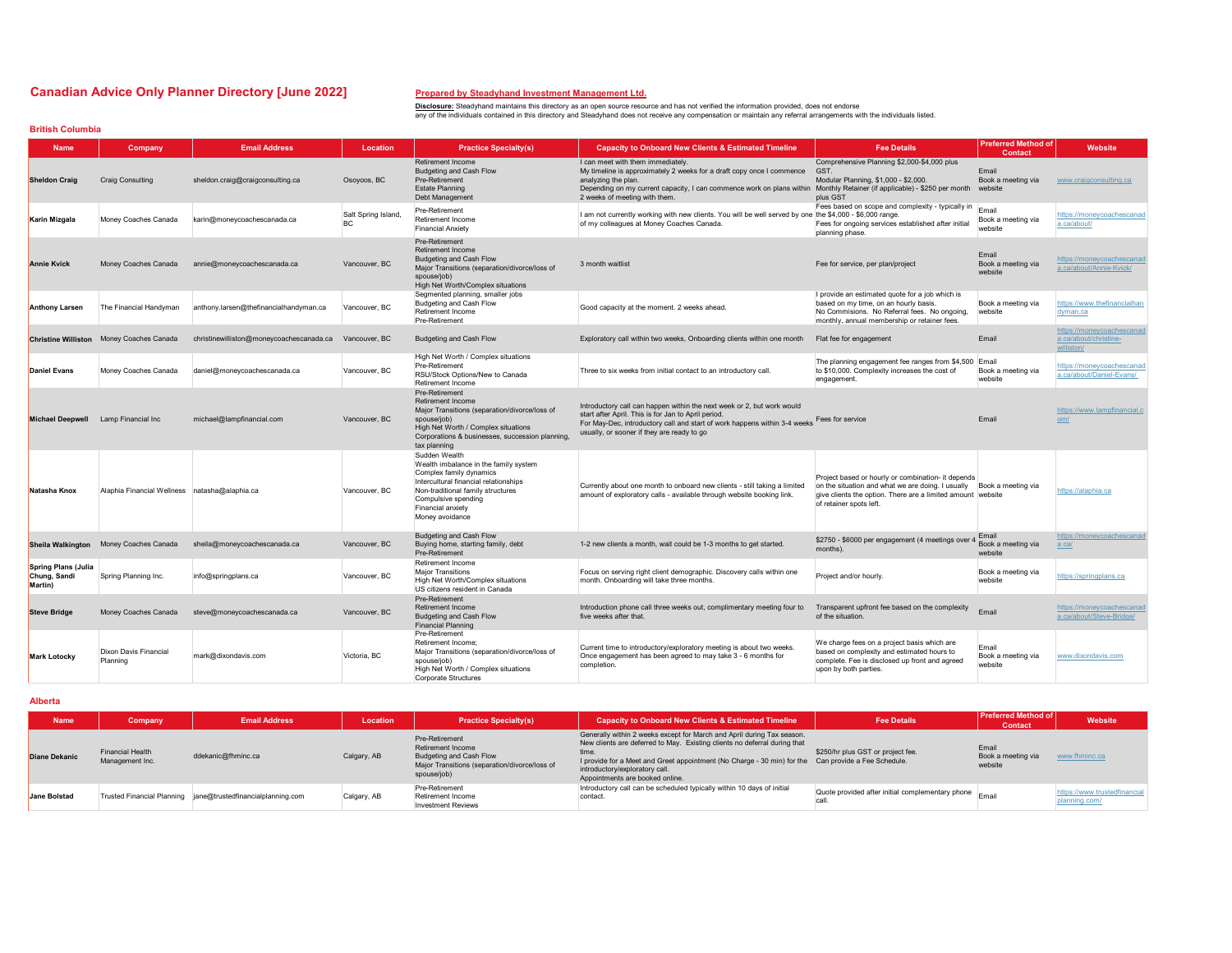# **Canadian Advice Only Planner Directory [June 2022]** [Prepared by Steadyhand Investment Management Ltd.](http://www.steadyhand.com/)

**Disclosure:** Steadyhand maintains this directory as an open source resource and has not verified the information provided, does not endorse any of the individuals contained in this directory and Steadyhand does not receive any compensation or maintain any referral arrangements with the individuals listed.

# **British Columbia**

| <b>Driusii Columbia</b>                               |                                                 |                                          |                           |                                                                                                                                                                                                                                |                                                                                                                                                                                                                                                          |                                                                                                                                                                                                                              |                                              |                                                                  |
|-------------------------------------------------------|-------------------------------------------------|------------------------------------------|---------------------------|--------------------------------------------------------------------------------------------------------------------------------------------------------------------------------------------------------------------------------|----------------------------------------------------------------------------------------------------------------------------------------------------------------------------------------------------------------------------------------------------------|------------------------------------------------------------------------------------------------------------------------------------------------------------------------------------------------------------------------------|----------------------------------------------|------------------------------------------------------------------|
| <b>Name</b>                                           | <b>Company</b>                                  | <b>Email Address</b>                     | <b>Location</b>           | <b>Practice Specialty(s)</b>                                                                                                                                                                                                   | <b>Capacity to Onboard New Clients &amp; Estimated Timeline</b>                                                                                                                                                                                          | <b>Fee Details</b>                                                                                                                                                                                                           | <b>Preferred Method of</b><br><b>Contact</b> | <b>Website</b>                                                   |
| <b>Sheldon Craig</b>                                  | <b>Craig Consulting</b>                         | sheldon.craig@craigconsulting.ca         | Osoyoos, BC               | <b>Retirement Income</b><br><b>Budgeting and Cash Flow</b><br>Pre-Retirement<br><b>Estate Planning</b><br>Debt Management                                                                                                      | I can meet with them immediately.<br>My timeline is approximately 2 weeks for a draft copy once I commence<br>analyzing the plan.<br>Depending on my current capacity, I can commence work on plans within<br>2 weeks of meeting with them.              | Comprehensive Planning \$2,000-\$4,000 plus<br>GST.<br>Modular Planning, \$1,000 - \$2,000.<br>Monthly Retainer (if applicable) - \$250 per month<br>plus GST                                                                | Email<br>Book a meeting via<br>website       | www.craigconsulting.ca                                           |
| Karin Mizgala                                         | Money Coaches Canada                            | karin@moneycoachescanada.ca              | Salt Spring Island,<br>BC | Pre-Retirement<br>Retirement Income<br><b>Financial Anxiety</b>                                                                                                                                                                | I am not currently working with new clients. You will be well served by one the \$4,000 - \$6,000 range.<br>of my colleagues at Money Coaches Canada                                                                                                     | Fees based on scope and complexity - typically in<br>Fees for ongoing services established after initial<br>planning phase.                                                                                                  | Email<br>Book a meeting via<br>website       | https://moneycoachescanad<br>a.ca/about/                         |
| <b>Annie Kvick</b>                                    | Money Coaches Canada                            | annie@moneycoachescanada.ca              | Vancouver, BC             | Pre-Retirement<br><b>Retirement Income</b><br><b>Budgeting and Cash Flow</b><br>Major Transitions (separation/divorce/loss of<br>spouse/job)<br>High Net Worth/Complex situations                                              | 3 month waitlist                                                                                                                                                                                                                                         | Fee for service, per plan/project                                                                                                                                                                                            | Email<br>Book a meeting via<br>website       | https://moneycoachescanad<br>a.ca/about/Annie-Kvick/             |
| <b>Anthony Larsen</b>                                 | The Financial Handyman                          | anthony.larsen@thefinancialhandyman.ca   | Vancouver, BC             | Segmented planning, smaller jobs<br><b>Budgeting and Cash Flow</b><br>Retirement Income<br><b>Pre-Retirement</b>                                                                                                               | Good capacity at the moment. 2 weeks ahead.                                                                                                                                                                                                              | I provide an estimated quote for a job which is<br>based on my time, on an hourly basis.<br>No Commisions. No Referral fees. No ongoing.<br>monthly, annual membership or retainer fees.                                     | Book a meeting via<br>∣website               | https://www.thefinancialhan<br>dyman.ca                          |
| <b>Christine Williston</b>                            | Money Coaches Canada                            | christinewilliston@moneycoachescanada.ca | Vancouver, BC             | <b>Budgeting and Cash Flow</b>                                                                                                                                                                                                 | Exploratory call within two weeks, Onboarding clients within one month                                                                                                                                                                                   | Flat fee for engagement                                                                                                                                                                                                      | Email                                        | https://moneycoachescanad<br>a.ca/about/christine-<br>williston/ |
| <b>Daniel Evans</b>                                   | Money Coaches Canada                            | daniel@moneycoachescanada.ca             | Vancouver, BC             | High Net Worth / Complex situations<br><b>Pre-Retirement</b><br>RSU/Stock Options/New to Canada<br>Retirement Income                                                                                                           | Three to six weeks from initial contact to an introductory call.                                                                                                                                                                                         | The planning engagement fee ranges from \$4,500 Email<br>to \$10,000. Complexity increases the cost of<br>engagement                                                                                                         | Book a meeting via<br>website                | https://moneycoachescanad<br>a.ca/about/Daniel-Evans/            |
| <b>Michael Deepwell</b>                               | <b>Lamp Financial Inc</b>                       | michael@lampfinancial.com                | Vancouver, BC             | <b>Pre-Retirement</b><br><b>Retirement Income</b><br>Major Transitions (separation/divorce/loss of<br>spouse/job)<br>High Net Worth / Complex situations<br>Corporations & businesses, succession planning<br>tax planning     | Introductory call can happen within the next week or 2, but work would<br>start after April. This is for Jan to April period.<br>For May-Dec, introductory call and start of work happens within 3-4 weeks<br>usually, or sooner if they are ready to go | Fees for service                                                                                                                                                                                                             | Email                                        | https://www.lampfinancial.c<br><u>om/</u>                        |
| Natasha Knox                                          | Alaphia Financial Wellness   natasha@alaphia.ca |                                          | Vancouver, BC             | Sudden Wealth<br>Wealth imbalance in the family system<br>Complex family dynamics<br>Intercultural financial relationships<br>Non-traditional family structures<br>Compulsive spending<br>Financial anxiety<br>Money avoidance | Currently about one month to onboard new clients - still taking a limited<br>amount of exploratory calls - available through website booking link.                                                                                                       | Project based or hourly or combination- it depends<br>on the situation and what we are doing. I usually $\vert$ Book a meeting via<br>give clients the option. There are a limited amount website<br>of retainer spots left. |                                              | https://alaphia.ca                                               |
|                                                       | <b>Sheila Walkington</b> Money Coaches Canada   | sheila@moneycoachescanada.ca             | Vancouver, BC             | <b>Budgeting and Cash Flow</b><br>Buying home, starting family, debt<br>Pre-Retirement                                                                                                                                         | 1-2 new clients a month, wait could be 1-3 months to get started.                                                                                                                                                                                        | \$2750 - \$6000 per engagement (4 meetings over<br>months).                                                                                                                                                                  | Email<br>Book a meeting via<br>website       | https://moneycoachescanad<br><u>a.ca/</u>                        |
| <b>Spring Plans (Julia</b><br>Chung, Sandi<br>Martin) | Spring Planning Inc.                            | $ $ info@springplans.ca                  | Vancouver, BC             | Retirement Income<br><b>Major Transitions</b><br>High Net Worth/Complex situations<br>US citizens resident in Canada                                                                                                           | Focus on serving right client demographic. Discovery calls within one<br>month. Onboarding will take three months.                                                                                                                                       | Project and/or hourly.                                                                                                                                                                                                       | Book a meeting via<br>website                | https://springplans.ca                                           |
| <b>Steve Bridge</b>                                   | Money Coaches Canada                            | steve@moneycoachescanada.ca              | Vancouver, BC             | <b>Pre-Retirement</b><br><b>Retirement Income</b><br><b>Budgeting and Cash Flow</b><br><b>Financial Planning</b>                                                                                                               | Introduction phone call three weeks out, complimentary meeting four to<br>five weeks after that.                                                                                                                                                         | Transparent upfront fee based on the complexity<br>of the situation.                                                                                                                                                         | Email                                        | https://moneycoachescanad<br>a.ca/about/Steve-Bridge/            |
| <b>Mark Lotocky</b>                                   | <b>Dixon Davis Financial</b><br>Planning        | mark@dixondavis.com                      | Victoria, BC              | <b>Pre-Retirement</b><br>Retirement Income;<br>Major Transitions (separation/divorce/loss of<br>spouse/job)<br>High Net Worth / Complex situations<br>Corporate Structures                                                     | Current time to introductory/exploratory meeting is about two weeks.<br>Once engagement has been agreed to may take 3 - 6 months for<br>completion.                                                                                                      | We charge fees on a project basis which are<br>based on complexity and estimated hours to<br>complete. Fee is disclosed up front and agreed<br>upon by both parties.                                                         | Email<br>Book a meeting via<br>website       | www.dixondavis.com                                               |
|                                                       |                                                 |                                          |                           |                                                                                                                                                                                                                                |                                                                                                                                                                                                                                                          |                                                                                                                                                                                                                              |                                              |                                                                  |

#### **Alberta**

| <b>Name</b>          | <b>Company</b>                             | <b>Email Address</b>                                           | <b>Location</b> | <b>Practice Specialty(s)</b>                                                                                                                        | <b>Capacity to Onboard New Clients &amp; Estimated Timeline</b>                                                                                                                                                                                                                                                                          | <b>Fee Details</b>                                                        | <b>Preferred Method of</b><br><b>Contact</b> | <b>Website</b>                                |
|----------------------|--------------------------------------------|----------------------------------------------------------------|-----------------|-----------------------------------------------------------------------------------------------------------------------------------------------------|------------------------------------------------------------------------------------------------------------------------------------------------------------------------------------------------------------------------------------------------------------------------------------------------------------------------------------------|---------------------------------------------------------------------------|----------------------------------------------|-----------------------------------------------|
| <b>Diane Dekanic</b> | <b>Financial Health</b><br>Management Inc. | ddekanic@fhminc.ca                                             | Calgary, AB     | <b>Pre-Retirement</b><br><b>Retirement Income</b><br><b>Budgeting and Cash Flow</b><br>Major Transitions (separation/divorce/loss of<br>spouse/job) | Generally within 2 weeks except for March and April during Tax season.<br>New clients are deferred to May. Existing clients no deferral during that<br>time.<br>I provide for a Meet and Greet appointment (No Charge - 30 min) for the Can provide a Fee Schedule.<br>introductory/exploratory call.<br>Appointments are booked online. | \$250/hr plus GST or project fee.                                         | Emai<br>Book a meeting via<br>website        | www.fhminc.ca                                 |
| Jane Bolstad         |                                            | Trusted Financial Planning   jane@trustedfinancialplanning.com | Calgary, AB     | Pre-Retirement<br>Retirement Income<br><b>Investment Reviews</b>                                                                                    | Introductory call can be scheduled typically within 10 days of initial<br>contact.                                                                                                                                                                                                                                                       | Quote provided after initial complementary phone $\vert_{\mathsf{Email}}$ |                                              | https://www.trustedfinancial<br>planning.com/ |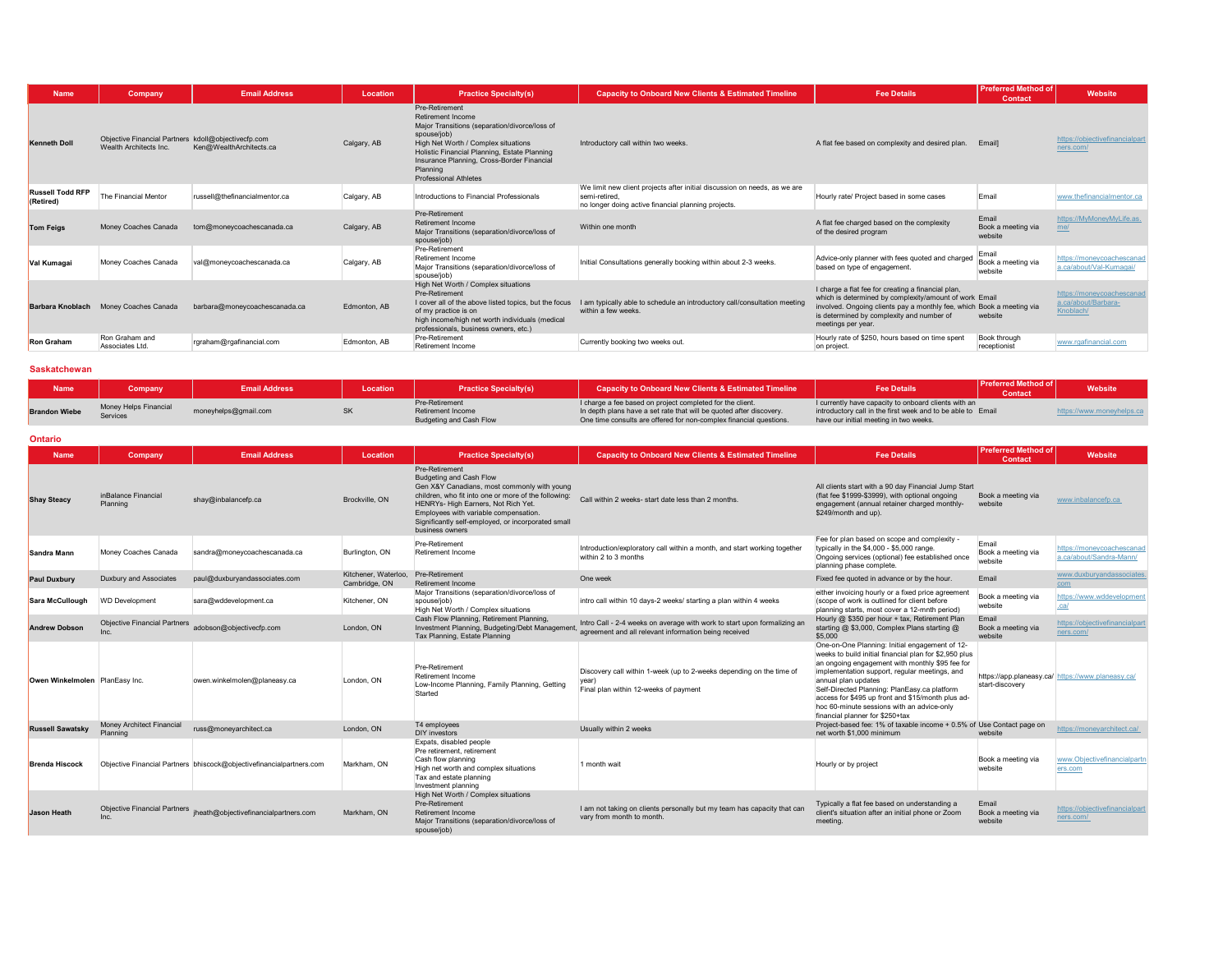| <b>Name</b>                          | <b>Company</b>                                                                | <b>Email Address</b>          | <b>Location</b> | <b>Practice Specialty(s)</b>                                                                                                                                                                                                                                                                       | <b>Capacity to Onboard New Clients &amp; Estimated Timeline</b>                                                                                   | <b>Fee Details</b>                                                                                                                                                                                                                                       | <b>Preferred Method of</b><br><b>Contact</b> | <b>Website</b>                                                |
|--------------------------------------|-------------------------------------------------------------------------------|-------------------------------|-----------------|----------------------------------------------------------------------------------------------------------------------------------------------------------------------------------------------------------------------------------------------------------------------------------------------------|---------------------------------------------------------------------------------------------------------------------------------------------------|----------------------------------------------------------------------------------------------------------------------------------------------------------------------------------------------------------------------------------------------------------|----------------------------------------------|---------------------------------------------------------------|
| <b>Kenneth Doll</b>                  | Objective Financial Partners kdoll@objectivecfp.com<br>Wealth Architects Inc. | Ken@WealthArchitects.ca       | Calgary, AB     | <b>Pre-Retirement</b><br><b>Retirement Income</b><br>Major Transitions (separation/divorce/loss of<br>spouse/job)<br>High Net Worth / Complex situations<br>Holistic Financial Planning, Estate Planning<br>Insurance Planning, Cross-Border Financial<br>Planning<br><b>Professional Athletes</b> | Introductory call within two weeks.                                                                                                               | A flat fee based on complexity and desired plan.                                                                                                                                                                                                         | Email]                                       | https://objectivefinancialpart<br>ners.com/                   |
| <b>Russell Todd RFP</b><br>(Retired) | The Financial Mentor                                                          | russell@thefinancialmentor.ca | Calgary, AB     | Introductions to Financial Professionals                                                                                                                                                                                                                                                           | We limit new client projects after initial discussion on needs, as we are<br>semi-retired,<br>no longer doing active financial planning projects. | Hourly rate/ Project based in some cases                                                                                                                                                                                                                 | Email                                        | www.thefinancialmentor.ca                                     |
| <b>Tom Feigs</b>                     | <b>Money Coaches Canada</b>                                                   | tom@moneycoachescanada.ca     | Calgary, AB     | <b>Pre-Retirement</b><br><b>Retirement Income</b><br>Major Transitions (separation/divorce/loss of<br>spouse/job)                                                                                                                                                                                  | Within one month                                                                                                                                  | A flat fee charged based on the complexity<br>of the desired program                                                                                                                                                                                     | Email<br>Book a meeting via<br>website       | https://MyMoneyMyLife.as<br>me/                               |
| Val Kumagai                          | <b>Money Coaches Canada</b>                                                   | val@moneycoachescanada.ca     | Calgary, AB     | <b>Pre-Retirement</b><br><b>Retirement Income</b><br>Major Transitions (separation/divorce/loss of<br>spouse/job)                                                                                                                                                                                  | Initial Consultations generally booking within about 2-3 weeks.                                                                                   | Advice-only planner with fees quoted and charged<br>based on type of engagement.                                                                                                                                                                         | Email<br>Book a meeting via<br>website       | https://moneycoachescana<br>a.ca/about/Val-Kumagai/           |
| <b>Barbara Knoblach</b>              | Money Coaches Canada                                                          | barbara@moneycoachescanada.ca | Edmonton, AB    | High Net Worth / Complex situations<br><b>Pre-Retirement</b><br>I cover all of the above listed topics, but the focus<br>of my practice is on<br>high income/high net worth individuals (medical<br>professionals, business owners, etc.)                                                          | I am typically able to schedule an introductory call/consultation meeting<br>within a few weeks.                                                  | I charge a flat fee for creating a financial plan,<br>which is determined by complexity/amount of work Email<br>involved. Ongoing clients pay a monthly fee, which Book a meeting via<br>is determined by complexity and number of<br>meetings per year. | website                                      | https://moneycoachescanad<br>a.ca/about/Barbara-<br>Knoblach/ |
| <b>Ron Graham</b>                    | Ron Graham and<br><b>Associates Ltd</b>                                       | rgraham@rgafinancial.com      | Edmonton, AB    | <b>Pre-Retirement</b><br><b>Retirement Income</b>                                                                                                                                                                                                                                                  | Currently booking two weeks out.                                                                                                                  | Hourly rate of \$250, hours based on time spent<br>on project.                                                                                                                                                                                           | Book through<br>receptionist                 | www.rgafinancial.com                                          |

### **Saskatchewan**

| <b>Name</b>          | <b>Company</b>                    | <b>Email Address</b> | Location | <b>Practice Specialty(s)</b>                                                        | <b>Capacity to Onboard New Clients &amp; Estimated Timeline</b>                                                                                                                                        | <b>Fee Details</b>                                                                                                                                            | <b>Contact</b> | <b>Website</b>                   |
|----------------------|-----------------------------------|----------------------|----------|-------------------------------------------------------------------------------------|--------------------------------------------------------------------------------------------------------------------------------------------------------------------------------------------------------|---------------------------------------------------------------------------------------------------------------------------------------------------------------|----------------|----------------------------------|
| <b>Brandon Wiebe</b> | Money Helps Financial<br>Services | moneyhelps@gmail.com |          | <b>Pre-Retirement</b><br><b>Retirement Income</b><br><b>Budgeting and Cash Flow</b> | I charge a fee based on project completed for the client.<br>In depth plans have a set rate that will be quoted after discovery.<br>One time consults are offered for non-complex financial questions. | I currently have capacity to onboard clients with an<br>introductory call in the first week and to be able to Email<br>have our initial meeting in two weeks. |                | <u>ittps://www.moneyhelps.ca</u> |

# **Ontario**

| <b>Name</b>                    | <b>Company</b>                               | <b>Email Address</b>                                                 | <b>Location</b>                       | <b>Practice Specialty(s)</b>                                                                                                                                                                                                                                                                                            | <b>Capacity to Onboard New Clients &amp; Estimated Timeline</b>                                                                   | <b>Fee Details</b>                                                                                                                                                                                                                                                                                                                                                                                                        | <b>Preferred Method of</b><br><b>Contact</b> | <b>Website</b>                                       |
|--------------------------------|----------------------------------------------|----------------------------------------------------------------------|---------------------------------------|-------------------------------------------------------------------------------------------------------------------------------------------------------------------------------------------------------------------------------------------------------------------------------------------------------------------------|-----------------------------------------------------------------------------------------------------------------------------------|---------------------------------------------------------------------------------------------------------------------------------------------------------------------------------------------------------------------------------------------------------------------------------------------------------------------------------------------------------------------------------------------------------------------------|----------------------------------------------|------------------------------------------------------|
| <b>Shay Steacy</b>             | inBalance Financial<br>Planning              | shay@inbalancefp.ca                                                  | Brockville, ON                        | <b>Pre-Retirement</b><br><b>Budgeting and Cash Flow</b><br>Gen X&Y Canadians, most commonly with young<br>children, who fit into one or more of the following:<br>HENRYs- High Earners, Not Rich Yet.<br>Employees with variable compensation.<br>Significantly self-employed, or incorporated small<br>business owners | Call within 2 weeks- start date less than 2 months.                                                                               | All clients start with a 90 day Financial Jump Start<br>(flat fee \$1999-\$3999), with optional ongoing<br>engagement (annual retainer charged monthly-<br>\$249/month and up).                                                                                                                                                                                                                                           | Book a meeting via<br>website                | www.inbalancefp.ca                                   |
| Sandra Mann                    | Money Coaches Canada                         | sandra@moneycoachescanada.ca                                         | Burlington, ON                        | <b>Pre-Retirement</b><br>Retirement Income                                                                                                                                                                                                                                                                              | Introduction/exploratory call within a month, and start working together<br>within 2 to 3 months                                  | Fee for plan based on scope and complexity -<br>typically in the $$4,000$ - \$5,000 range.<br>Ongoing services (optional) fee established once<br>planning phase complete.                                                                                                                                                                                                                                                | Email<br>Book a meeting via<br>website       | https://moneycoachescanad<br>a.ca/about/Sandra-Mann/ |
| <b>Paul Duxbury</b>            | <b>Duxbury and Associates</b>                | paul@duxburyandassociates.com                                        | Kitchener, Waterloo,<br>Cambridge, ON | <b>Pre-Retirement</b><br><b>Retirement Income</b>                                                                                                                                                                                                                                                                       | One week                                                                                                                          | Fixed fee quoted in advance or by the hour.                                                                                                                                                                                                                                                                                                                                                                               | Email                                        | www.duxburyandassociates.<br>com                     |
| Sara McCullough                | <b>WD Development</b>                        | $\sqrt{q}$ sara@wddevelopment.ca                                     | Kitchener, ON                         | Major Transitions (separation/divorce/loss of<br>spouse/job)<br>High Net Worth / Complex situations                                                                                                                                                                                                                     | intro call within 10 days-2 weeks/ starting a plan within 4 weeks                                                                 | either invoicing hourly or a fixed price agreement<br>(scope of work is outlined for client before<br>planning starts, most cover a 12-mnth period)                                                                                                                                                                                                                                                                       | Book a meeting via<br>website                | https://www.wddevelopment<br><u>.ca/</u>             |
| <b>Andrew Dobson</b>           | <b>Objective Financial Partners</b><br>Inc.  | adobson@objectivecfp.com                                             | London, ON                            | Cash Flow Planning, Retirement Planning,<br>Investment Planning, Budgeting/Debt Managemer<br>Tax Planning, Estate Planning                                                                                                                                                                                              | Intro Call - 2-4 weeks on average with work to start upon formalizing an<br>agreement and all relevant information being received | Hourly @ \$350 per hour + tax, Retirement Plan<br>starting @ \$3,000, Complex Plans starting @<br>\$5,000                                                                                                                                                                                                                                                                                                                 | Email<br>Book a meeting via<br>website       | https://objectivefinancialpart<br>ners.com/          |
| Owen Winkelmolen PlanEasy Inc. |                                              | owen.winkelmolen@planeasy.ca                                         | London, ON                            | <b>Pre-Retirement</b><br>Retirement Income<br>Low-Income Planning, Family Planning, Getting<br><b>Started</b>                                                                                                                                                                                                           | Discovery call within 1-week (up to 2-weeks depending on the time of<br>$ year\rangle$<br>Final plan within 12-weeks of payment   | One-on-One Planning: Initial engagement of 12-<br>weeks to build initial financial plan for \$2,950 plus<br>an ongoing engagement with monthly \$95 fee for<br>implementation support, regular meetings, and<br>annual plan updates<br>Self-Directed Planning: PlanEasy.ca platform<br>access for \$495 up front and \$15/month plus ad-<br>hoc 60-minute sessions with an advice-only<br>financial planner for \$250+tax | start-discovery                              | https://app.planeasy.ca/ https://www.planeasy.ca/    |
| <b>Russell Sawatsky</b>        | <b>Money Architect Financial</b><br>Planning | russ@moneyarchitect.ca                                               | London, ON                            | T4 employees<br><b>DIY investors</b>                                                                                                                                                                                                                                                                                    | Usually within 2 weeks                                                                                                            | Project-based fee: 1% of taxable income + 0.5% of Use Contact page on<br>net worth \$1,000 minimum                                                                                                                                                                                                                                                                                                                        | website                                      | https://moneyarchitect.ca/                           |
| <b>Brenda Hiscock</b>          |                                              | Objective Financial Partners bhiscock@objectivefinancialpartners.com | Markham, ON                           | Expats, disabled people<br>Pre retirement, retirement<br>Cash flow planning<br>High net worth and complex situations<br>Tax and estate planning<br>Investment planning                                                                                                                                                  | 1 month wait                                                                                                                      | Hourly or by project                                                                                                                                                                                                                                                                                                                                                                                                      | Book a meeting via<br>website                | www.Objectivefinancialpartn<br>ers.com               |
| Jason Heath                    | <b>Objective Financial Partners</b><br>Inc.  | jheath@objectivefinancialpartners.com                                | Markham, ON                           | High Net Worth / Complex situations<br><b>Pre-Retirement</b><br><b>Retirement Income</b><br>Major Transitions (separation/divorce/loss of<br>spouse/job)                                                                                                                                                                | I am not taking on clients personally but my team has capacity that can<br>vary from month to month.                              | Typically a flat fee based on understanding a<br>client's situation after an initial phone or Zoom<br>meeting.                                                                                                                                                                                                                                                                                                            | Email<br>Book a meeting via<br>website       | https://objectivefinancialpart<br>ners.com/          |

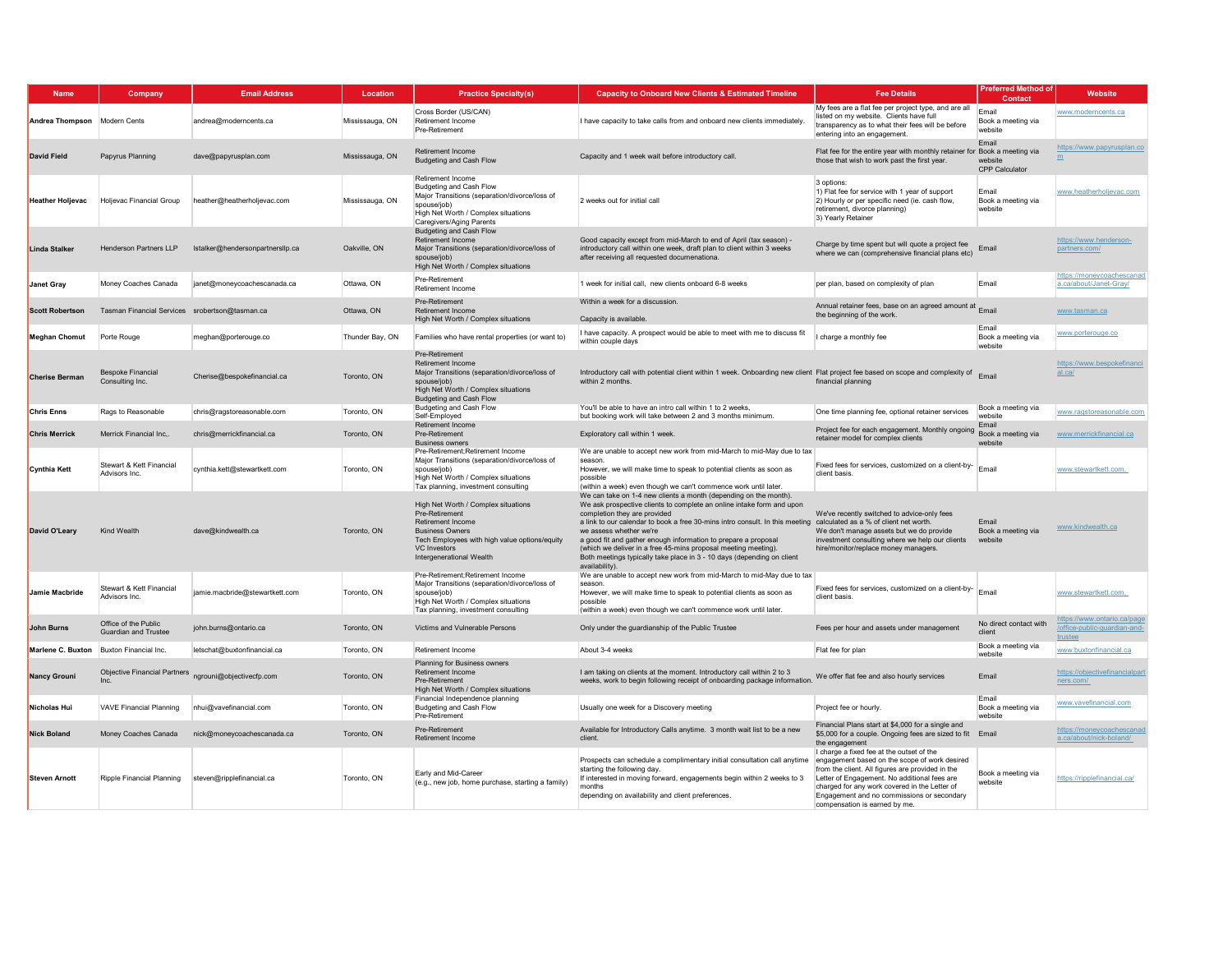| <b>Name</b>                               | <b>Company</b>                                       | <b>Email Address</b>             | Location        | <b>Practice Specialty(s)</b>                                                                                                                                                                                           | <b>Capacity to Onboard New Clients &amp; Estimated Timeline</b>                                                                                                                                                                                                                                                                                                                                                                                                                                                      | <b>Fee Details</b>                                                                                                                                                                                                                                                                                                             | <b>Preferred Method of</b><br><b>Contact</b>                    | <b>Website</b>                                                         |
|-------------------------------------------|------------------------------------------------------|----------------------------------|-----------------|------------------------------------------------------------------------------------------------------------------------------------------------------------------------------------------------------------------------|----------------------------------------------------------------------------------------------------------------------------------------------------------------------------------------------------------------------------------------------------------------------------------------------------------------------------------------------------------------------------------------------------------------------------------------------------------------------------------------------------------------------|--------------------------------------------------------------------------------------------------------------------------------------------------------------------------------------------------------------------------------------------------------------------------------------------------------------------------------|-----------------------------------------------------------------|------------------------------------------------------------------------|
| Andrea Thompson   Modern Cents            |                                                      | andrea@moderncents.ca            | Mississauga, ON | Cross Border (US/CAN)<br>Retirement Income<br><b>Pre-Retirement</b>                                                                                                                                                    | I have capacity to take calls from and onboard new clients immediately                                                                                                                                                                                                                                                                                                                                                                                                                                               | My fees are a flat fee per project type, and are all<br>listed on my website. Clients have full<br>transparency as to what their fees will be before<br>entering into an engagement.                                                                                                                                           | Email<br>Book a meeting via<br>website                          | www.moderncents.ca                                                     |
| <b>David Field</b>                        | Papyrus Planning                                     | dave@papyrusplan.com             | Mississauga, ON | <b>Retirement Income</b><br><b>Budgeting and Cash Flow</b>                                                                                                                                                             | Capacity and 1 week wait before introductory call.                                                                                                                                                                                                                                                                                                                                                                                                                                                                   | Flat fee for the entire year with monthly retainer for<br>those that wish to work past the first year.                                                                                                                                                                                                                         | Email<br>Book a meeting via<br>website<br><b>CPP Calculator</b> | https://www.papyrusplan.co                                             |
| <b>Heather Holjevac</b>                   | <b>Holjevac Financial Group</b>                      | heather@heatherholjevac.com      | Mississauga, ON | Retirement Income<br><b>Budgeting and Cash Flow</b><br>Major Transitions (separation/divorce/loss of<br>spouse/job)<br>High Net Worth / Complex situations<br>Caregivers/Aging Parents                                 | 2 weeks out for initial call                                                                                                                                                                                                                                                                                                                                                                                                                                                                                         | 3 options:<br>1) Flat fee for service with 1 year of support<br>[2] Hourly or per specific need (ie. cash flow,<br>retirement, divorce planning)<br>3) Yearly Retainer                                                                                                                                                         | Email<br>Book a meeting via<br>website                          | www.heatherholievac.com                                                |
| Linda Stalker                             | <b>Henderson Partners LLP</b>                        | Istalker@hendersonpartnersllp.ca | Oakville, ON    | <b>Budgeting and Cash Flow</b><br><b>Retirement Income</b><br>Major Transitions (separation/divorce/loss of<br>spouse/job)<br>High Net Worth / Complex situations                                                      | Good capacity except from mid-March to end of April (tax season) -<br>introductory call within one week, draft plan to client within 3 weeks<br>after receiving all requested documenationa.                                                                                                                                                                                                                                                                                                                         | Charge by time spent but will quote a project fee<br>where we can (comprehensive financial plans etc)                                                                                                                                                                                                                          | Email                                                           | https://www.henderson-<br>partners.com/                                |
| Janet Gray                                | Money Coaches Canada                                 | janet@moneycoachescanada.ca      | Ottawa, ON      | <b>Pre-Retirement</b><br>Retirement Income                                                                                                                                                                             | 1 week for initial call, new clients onboard 6-8 weeks                                                                                                                                                                                                                                                                                                                                                                                                                                                               | per plan, based on complexity of plan                                                                                                                                                                                                                                                                                          | Email                                                           | https://moneycoachescanad<br>a.ca/about/Janet-Gray                     |
| <b>Scott Robertson</b>                    | <b>Tasman Financial Services</b>                     | srobertson@tasman.ca             | Ottawa, ON      | Pre-Retirement<br><b>Retirement Income</b><br>High Net Worth / Complex situations                                                                                                                                      | Within a week for a discussion<br>Capacity is available.                                                                                                                                                                                                                                                                                                                                                                                                                                                             | Annual retainer fees, base on an agreed amount at Email<br>the beginning of the work.                                                                                                                                                                                                                                          |                                                                 | www.tasman.ca                                                          |
| <b>Meghan Chomut</b>                      | Porte Rouge                                          | meghan@porterouge.co             | Thunder Bay, ON | Families who have rental properties (or want to)                                                                                                                                                                       | I have capacity. A prospect would be able to meet with me to discuss fit<br>within couple days                                                                                                                                                                                                                                                                                                                                                                                                                       | I charge a monthly fee                                                                                                                                                                                                                                                                                                         | Email<br>Book a meeting via<br>website                          | www.porterouge.co                                                      |
| <b>Cherise Berman</b>                     | <b>Bespoke Financial</b><br>Consulting Inc.          | Cherise@bespokefinancial.ca      | Toronto, ON     | <b>Pre-Retirement</b><br><b>Retirement Income</b><br>Major Transitions (separation/divorce/loss of<br>spouse/job)<br>High Net Worth / Complex situations<br><b>Budgeting and Cash Flow</b>                             | Introductory call with potential client within 1 week. Onboarding new client Flat project fee based on scope and complexity of Email<br>within 2 months.                                                                                                                                                                                                                                                                                                                                                             | financial planning                                                                                                                                                                                                                                                                                                             |                                                                 | https://www.bespokefinanci<br>al.ca/                                   |
| <b>Chris Enns</b>                         | Rags to Reasonable                                   | chris@ragstoreasonable.com       | Toronto, ON     | <b>Budgeting and Cash Flow</b><br>Self-Employed                                                                                                                                                                        | You'll be able to have an intro call within 1 to 2 weeks.<br>but booking work will take between 2 and 3 months minimum.                                                                                                                                                                                                                                                                                                                                                                                              | One time planning fee, optional retainer services                                                                                                                                                                                                                                                                              | Book a meeting via<br>website                                   | www.ragstoreasonable.com                                               |
| <b>Chris Merrick</b>                      | Merrick Financial Inc,                               | chris@merrickfinancial.ca        | Toronto, ON     | <b>Retirement Income</b><br><b>Pre-Retirement</b><br><b>Business owners</b>                                                                                                                                            | Exploratory call within 1 week.                                                                                                                                                                                                                                                                                                                                                                                                                                                                                      | Project fee for each engagement. Monthly ongoing<br>retainer model for complex clients                                                                                                                                                                                                                                         | Email<br>Book a meeting via<br>website                          | www.merrickfinancial.ca                                                |
| Cynthia Kett                              | <b>Stewart &amp; Kett Financial</b><br>Advisors Inc. | cynthia.kett@stewartkett.com     | Toronto, ON     | Pre-Retirement: Retirement Income<br>Major Transitions (separation/divorce/loss of<br>spouse/job)<br>High Net Worth / Complex situations<br>Tax planning, investment consulting                                        | We are unable to accept new work from mid-March to mid-May due to tax<br>season.<br>However, we will make time to speak to potential clients as soon as<br>possible<br>(within a week) even though we can't commence work until later.                                                                                                                                                                                                                                                                               | Fixed fees for services, customized on a client-by- $\vert_{\mathsf{Email}}$<br>client basis.                                                                                                                                                                                                                                  |                                                                 | www.stewartkett.com.                                                   |
| <b>David O'Leary</b>                      | <b>Kind Wealth</b>                                   | dave@kindwealth.ca               | Toronto, ON     | High Net Worth / Complex situations<br><b>Pre-Retirement</b><br><b>Retirement Income</b><br><b>Business Owners</b><br>Tech Employees with high value options/equity<br><b>VC Investors</b><br>Intergenerational Wealth | We can take on 1-4 new clients a month (depending on the month).<br>We ask prospective clients to complete an online intake form and upon<br>completion they are provided<br>a link to our calendar to book a free 30-mins intro consult. In this meeting<br>we assess whether we're<br>a good fit and gather enough information to prepare a proposal<br>(which we deliver in a free 45-mins proposal meeting meeting).<br>Both meetings typically take place in 3 - 10 days (depending on client<br>availability). | We've recently switched to advice-only fees<br>calculated as a % of client net worth.<br>We don't manage assets but we do provide<br>investment consulting where we help our clients<br>hire/monitor/replace money managers.                                                                                                   | Email<br>Book a meeting via<br>website                          | www.kindwealth.ca                                                      |
| Jamie Macbride                            | <b>Stewart &amp; Kett Financial</b><br>Advisors Inc. | jamie.macbride@stewartkett.com   | Toronto, ON     | Pre-Retirement; Retirement Income<br>Major Transitions (separation/divorce/loss of<br>spouse/job)<br>High Net Worth / Complex situations<br>Tax planning, investment consulting                                        | We are unable to accept new work from mid-March to mid-May due to tax<br>season.<br>However, we will make time to speak to potential clients as soon as<br>possible<br>(within a week) even though we can't commence work until later.                                                                                                                                                                                                                                                                               | Fixed fees for services, customized on a client-by- $\vert_{\mathsf{Email}}$<br>client basis.                                                                                                                                                                                                                                  |                                                                 | www.stewartkett.com.                                                   |
| John Burns                                | Office of the Public<br><b>Guardian and Trustee</b>  | john.burns@ontario.ca            | Toronto, ON     | <b>Victims and Vulnerable Persons</b>                                                                                                                                                                                  | Only under the guardianship of the Public Trustee                                                                                                                                                                                                                                                                                                                                                                                                                                                                    | Fees per hour and assets under management                                                                                                                                                                                                                                                                                      | No direct contact with<br>client                                | https://www.ontario.ca/page<br>/office-public-guardian-and-<br>trustee |
| Marlene C. Buxton   Buxton Financial Inc. |                                                      | letschat@buxtonfinancial.ca      | Toronto, ON     | Retirement Income                                                                                                                                                                                                      | About 3-4 weeks                                                                                                                                                                                                                                                                                                                                                                                                                                                                                                      | Flat fee for plan                                                                                                                                                                                                                                                                                                              | Book a meeting via<br>website                                   | www.buxtonfinancial.ca                                                 |
| <b>Nancy Grouni</b>                       | <b>Objective Financial Partners</b><br>Inc.          | ngrouni@objectivecfp.com         | Toronto, ON     | <b>Planning for Business owners</b><br><b>Retirement Income</b><br><b>Pre-Retirement</b><br>High Net Worth / Complex situations                                                                                        | I am taking on clients at the moment. Introductory call within 2 to 3<br>weeks, work to begin following receipt of onboarding package information                                                                                                                                                                                                                                                                                                                                                                    | We offer flat fee and also hourly services                                                                                                                                                                                                                                                                                     | Email                                                           | https://objectivefinancialpart<br>ners.com/                            |
| Nicholas Hui                              | <b>VAVE Financial Planning</b>                       | $n$ hui@vavefinancial.com        | Toronto, ON     | Financial Independence planning<br><b>Budgeting and Cash Flow</b><br><b>Pre-Retirement</b>                                                                                                                             | Usually one week for a Discovery meeting                                                                                                                                                                                                                                                                                                                                                                                                                                                                             | Project fee or hourly.                                                                                                                                                                                                                                                                                                         | Email<br>Book a meeting via<br>website                          | www.vavefinancial.com                                                  |
| <b>Nick Boland</b>                        | Money Coaches Canada                                 | nick@moneycoachescanada.ca       | Toronto, ON     | <b>Pre-Retirement</b><br><b>Retirement Income</b>                                                                                                                                                                      | Available for Introductory Calls anytime. 3 month wait list to be a new<br>client.                                                                                                                                                                                                                                                                                                                                                                                                                                   | Financial Plans start at \$4,000 for a single and<br>\$5,000 for a couple. Ongoing fees are sized to fit Email<br>the engagement                                                                                                                                                                                               |                                                                 | https://moneycoachescanad<br>a.ca/about/nick-boland/                   |
| <b>Steven Arnott</b>                      | Ripple Financial Planning                            | steven@ripplefinancial.ca        | Toronto, ON     | <b>Early and Mid-Career</b><br>$(c.g., new job, home purchase, starting a family)$                                                                                                                                     | Prospects can schedule a complimentary initial consultation call anytime<br>starting the following day.<br>If interested in moving forward, engagements begin within 2 weeks to 3<br>months<br>depending on availability and client preferences.                                                                                                                                                                                                                                                                     | I charge a fixed fee at the outset of the<br>engagement based on the scope of work desired<br>from the client. All figures are provided in the<br>Letter of Engagement. No additional fees are<br>charged for any work covered in the Letter of<br>Engagement and no commissions or secondary<br>compensation is earned by me. | Book a meeting via<br>website                                   | https://ripplefinancial.ca/                                            |